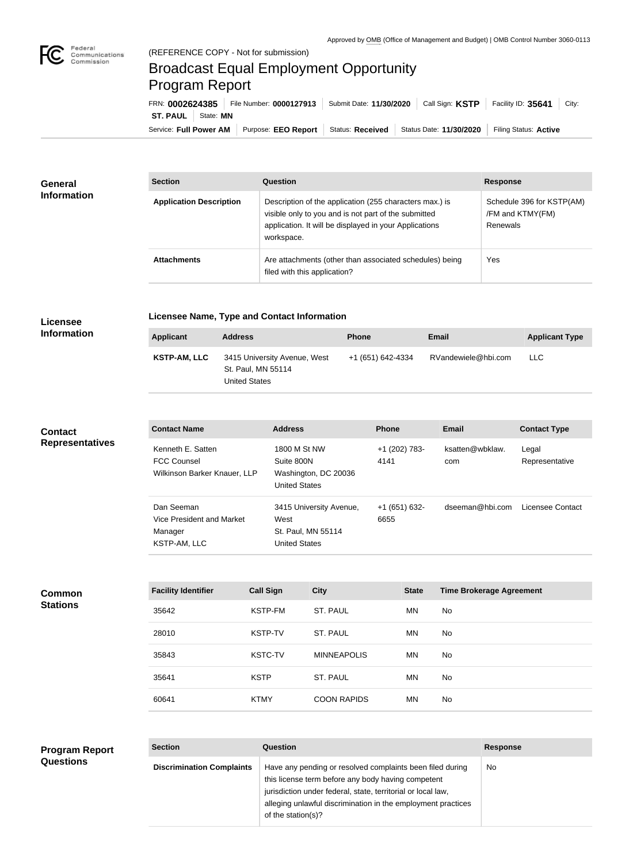

# Broadcast Equal Employment Opportunity Program Report

Service: Full Power AM | Purpose: EEO Report | Status: Received | Status Date: 11/30/2020 | Filing Status: Active **ST. PAUL** | State: **MN** FRN: **0002624385** File Number: **0000127913** Submit Date: **11/30/2020** Call Sign: **KSTP** Facility ID: **35641** City:

| General<br><b>Information</b> | <b>Section</b>                 | <b>Question</b>                                                                                                                                                                         | <b>Response</b>                                           |  |
|-------------------------------|--------------------------------|-----------------------------------------------------------------------------------------------------------------------------------------------------------------------------------------|-----------------------------------------------------------|--|
|                               | <b>Application Description</b> | Description of the application (255 characters max.) is<br>visible only to you and is not part of the submitted<br>application. It will be displayed in your Applications<br>workspace. | Schedule 396 for KSTP(AM)<br>/FM and KTMY(FM)<br>Renewals |  |
|                               | <b>Attachments</b>             | Are attachments (other than associated schedules) being<br>filed with this application?                                                                                                 | Yes                                                       |  |

#### **Licensee Information**

**Licensee Name, Type and Contact Information**

| Applicant    | <b>Address</b>                                                      | <b>Phone</b>      | Email               | <b>Applicant Type</b> |
|--------------|---------------------------------------------------------------------|-------------------|---------------------|-----------------------|
| KSTP-AM, LLC | 3415 University Avenue, West<br>St. Paul, MN 55114<br>United States | +1 (651) 642-4334 | RVandewiele@hbi.com | <b>LLC</b>            |

#### **Contact Representatives**

| <b>Contact Name</b>                                                     | <b>Address</b>                                                                | <b>Phone</b>          | Email                  | <b>Contact Type</b>     |
|-------------------------------------------------------------------------|-------------------------------------------------------------------------------|-----------------------|------------------------|-------------------------|
| Kenneth E. Satten<br><b>FCC Counsel</b><br>Wilkinson Barker Knauer, LLP | 1800 M St NW<br>Suite 800N<br>Washington, DC 20036<br><b>United States</b>    | +1 (202) 783-<br>4141 | ksatten@wbklaw.<br>com | Legal<br>Representative |
| Dan Seeman<br>Vice President and Market<br>Manager<br>KSTP-AM, LLC      | 3415 University Avenue,<br>West<br>St. Paul, MN 55114<br><b>United States</b> | +1 (651) 632-<br>6655 | dseeman@hbi.com        | Licensee Contact        |

## **Common**

| vviilisvii      |  |
|-----------------|--|
|                 |  |
| <b>Stations</b> |  |
|                 |  |
|                 |  |
|                 |  |

| <b>Facility Identifier</b> | <b>Call Sign</b> | <b>City</b>        | <b>State</b> | <b>Time Brokerage Agreement</b> |
|----------------------------|------------------|--------------------|--------------|---------------------------------|
| 35642                      | KSTP-FM          | ST. PAUL           | MN.          | No.                             |
| 28010                      | <b>KSTP-TV</b>   | ST. PAUL           | MN.          | No.                             |
| 35843                      | <b>KSTC-TV</b>   | <b>MINNEAPOLIS</b> | MN.          | No                              |
| 35641                      | <b>KSTP</b>      | ST. PAUL           | MN.          | No.                             |
| 60641                      | <b>KTMY</b>      | <b>COON RAPIDS</b> | MN.          | No.                             |

### **Program Report Questions**

| <b>Section</b>                   | Question                                                                                                                                                                                                                                                              | <b>Response</b> |
|----------------------------------|-----------------------------------------------------------------------------------------------------------------------------------------------------------------------------------------------------------------------------------------------------------------------|-----------------|
| <b>Discrimination Complaints</b> | Have any pending or resolved complaints been filed during<br>this license term before any body having competent<br>jurisdiction under federal, state, territorial or local law,<br>alleging unlawful discrimination in the employment practices<br>of the station(s)? | No.             |